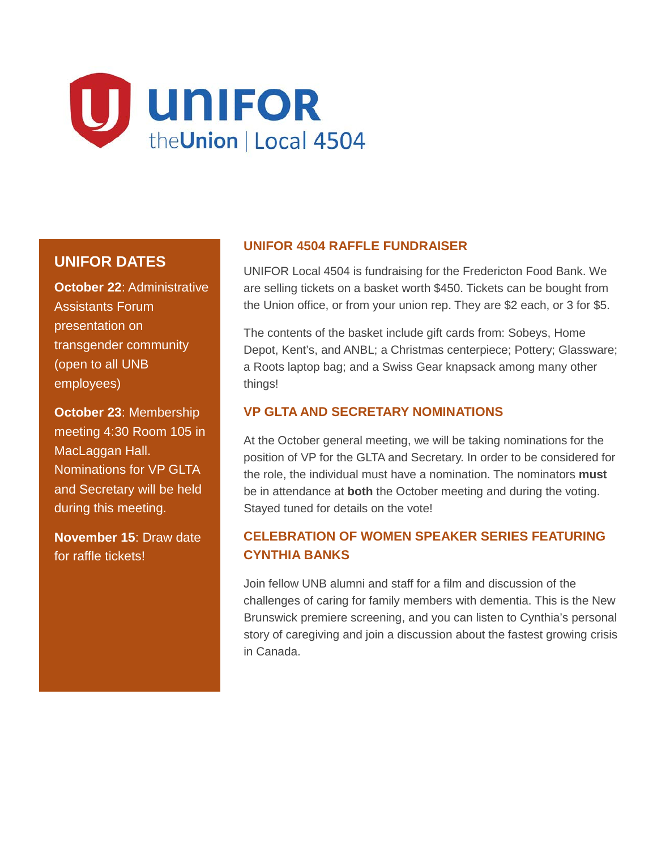

# **UNIFOR DATES**

**October 22**: Administrative Assistants Forum presentation on transgender community (open to all UNB employees)

**October 23**: Membership meeting 4:30 Room 105 in MacLaggan Hall. Nominations for VP GLTA and Secretary will be held during this meeting.

**November 15**: Draw date for raffle tickets!

#### **UNIFOR 4504 RAFFLE FUNDRAISER**

UNIFOR Local 4504 is fundraising for the Fredericton Food Bank. We are selling tickets on a basket worth \$450. Tickets can be bought from the Union office, or from your union rep. They are \$2 each, or 3 for \$5.

The contents of the basket include gift cards from: Sobeys, Home Depot, Kent's, and ANBL; a Christmas centerpiece; Pottery; Glassware; a Roots laptop bag; and a Swiss Gear knapsack among many other things!

#### **VP GLTA AND SECRETARY NOMINATIONS**

At the October general meeting, we will be taking nominations for the position of VP for the GLTA and Secretary. In order to be considered for the role, the individual must have a nomination. The nominators **must** be in attendance at **both** the October meeting and during the voting. Stayed tuned for details on the vote!

# **CELEBRATION OF WOMEN SPEAKER SERIES FEATURING CYNTHIA BANKS**

Join fellow UNB alumni and staff for a film and discussion of the challenges of caring for family members with dementia. This is the New Brunswick premiere screening, and you can listen to Cynthia's personal story of caregiving and join a discussion about the fastest growing crisis in Canada.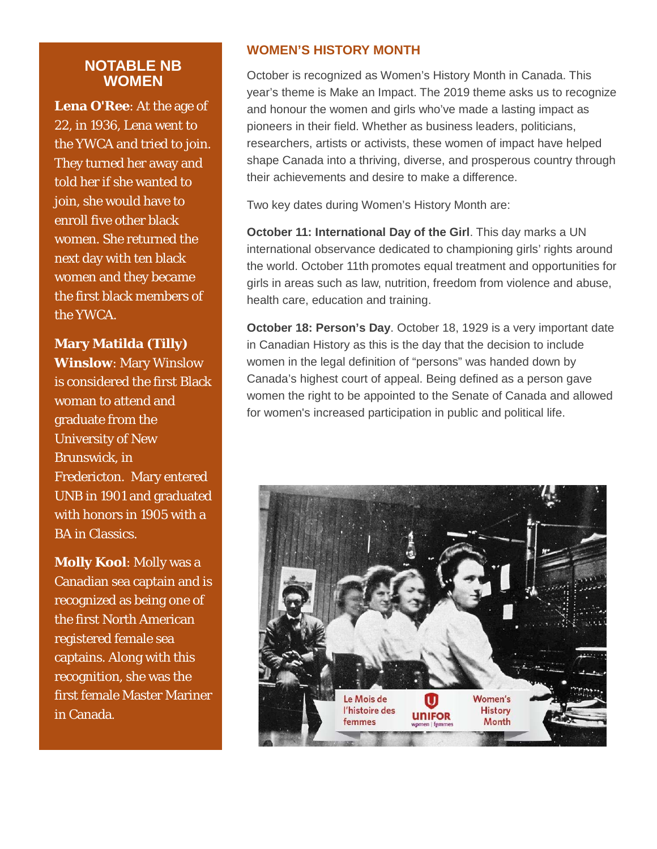#### **NOTABLE NB WOMEN**

**Lena O'Ree**: At the age of 22, in 1936, Lena went to the YWCA and tried to join. They turned her away and told her if she wanted to join, she would have to enroll five other black women. She returned the next day with ten black women and they became the first black members of the YWCA.

#### **Mary Matilda (Tilly)**

**Winslow**: Mary Winslow is considered the first Black woman to attend and graduate from the University of New Brunswick, in Fredericton. Mary entered UNB in 1901 and graduated with honors in 1905 with a BA in Classics.

**Molly Kool**: Molly was a Canadian sea captain and is recognized as being one of the first North American registered female sea captains. Along with this recognition, she was the first female Master Mariner in Canada.

#### **WOMEN'S HISTORY MONTH**

October is recognized as Women's History Month in Canada. This year's theme is Make an Impact. The 2019 theme asks us to recognize and honour the women and girls who've made a lasting impact as pioneers in their field. Whether as business leaders, politicians, researchers, artists or activists, these women of impact have helped shape Canada into a thriving, diverse, and prosperous country through their achievements and desire to make a difference.

Two key dates during Women's History Month are:

**October 11: International Day of the Girl**. This day marks a UN international observance dedicated to championing girls' rights around the world. October 11th promotes equal treatment and opportunities for girls in areas such as law, nutrition, freedom from violence and abuse, health care, education and training.

**October 18: Person's Day.** October 18, 1929 is a very important date in Canadian History as this is the day that the decision to include women in the legal definition of "persons" was handed down by Canada's highest court of appeal. Being defined as a person gave women the right to be appointed to the Senate of Canada and allowed for women's increased participation in public and political life.